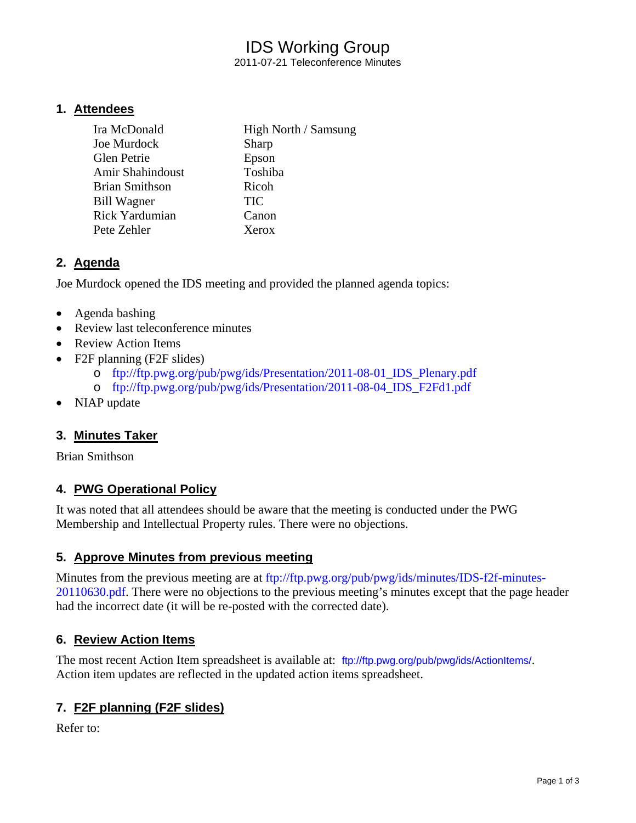# IDS Working Group

2011-07-21 Teleconference Minutes

### **1. Attendees**

| Ira McDonald          | High North / Samsung |
|-----------------------|----------------------|
| Joe Murdock           | Sharp                |
| Glen Petrie           | Epson                |
| Amir Shahindoust      | Toshiba              |
| <b>Brian Smithson</b> | Ricoh                |
| Bill Wagner           | <b>TIC</b>           |
| Rick Yardumian        | Canon                |
| Pete Zehler           | Xerox                |

### **2. Agenda**

Joe Murdock opened the IDS meeting and provided the planned agenda topics:

- Agenda bashing
- Review last teleconference minutes
- Review Action Items
- F2F planning (F2F slides)
	- o ftp://ftp.pwg.org/pub/pwg/ids/Presentation/2011-08-01\_IDS\_Plenary.pdf
	- o ftp://ftp.pwg.org/pub/pwg/ids/Presentation/2011-08-04\_IDS\_F2Fd1.pdf
- NIAP update

### **3. Minutes Taker**

Brian Smithson

### **4. PWG Operational Policy**

It was noted that all attendees should be aware that the meeting is conducted under the PWG Membership and Intellectual Property rules. There were no objections.

### **5. Approve Minutes from previous meeting**

Minutes from the previous meeting are at ftp://ftp.pwg.org/pub/pwg/ids/minutes/IDS-f2f-minutes-20110630.pdf. There were no objections to the previous meeting's minutes except that the page header had the incorrect date (it will be re-posted with the corrected date).

### **6. Review Action Items**

The most recent Action Item spreadsheet is available at: ftp://ftp.pwg.org/pub/pwg/ids/ActionItems/. Action item updates are reflected in the updated action items spreadsheet.

### **7. F2F planning (F2F slides)**

Refer to: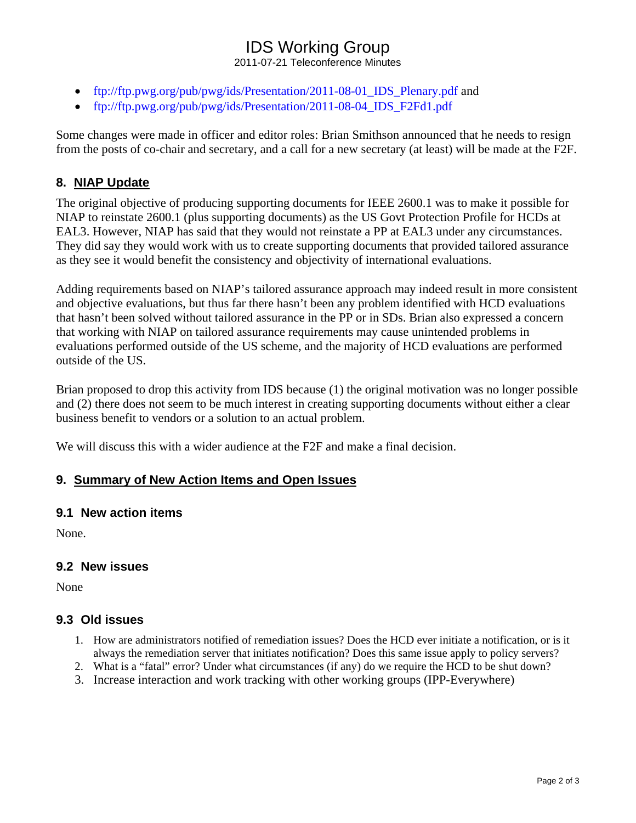## IDS Working Group

2011-07-21 Teleconference Minutes

- ftp://ftp.pwg.org/pub/pwg/ids/Presentation/2011-08-01\_IDS\_Plenary.pdf and
- ftp://ftp.pwg.org/pub/pwg/ids/Presentation/2011-08-04 IDS F2Fd1.pdf

Some changes were made in officer and editor roles: Brian Smithson announced that he needs to resign from the posts of co-chair and secretary, and a call for a new secretary (at least) will be made at the F2F.

### **8. NIAP Update**

The original objective of producing supporting documents for IEEE 2600.1 was to make it possible for NIAP to reinstate 2600.1 (plus supporting documents) as the US Govt Protection Profile for HCDs at EAL3. However, NIAP has said that they would not reinstate a PP at EAL3 under any circumstances. They did say they would work with us to create supporting documents that provided tailored assurance as they see it would benefit the consistency and objectivity of international evaluations.

Adding requirements based on NIAP's tailored assurance approach may indeed result in more consistent and objective evaluations, but thus far there hasn't been any problem identified with HCD evaluations that hasn't been solved without tailored assurance in the PP or in SDs. Brian also expressed a concern that working with NIAP on tailored assurance requirements may cause unintended problems in evaluations performed outside of the US scheme, and the majority of HCD evaluations are performed outside of the US.

Brian proposed to drop this activity from IDS because (1) the original motivation was no longer possible and (2) there does not seem to be much interest in creating supporting documents without either a clear business benefit to vendors or a solution to an actual problem.

We will discuss this with a wider audience at the F2F and make a final decision.

### **9. Summary of New Action Items and Open Issues**

#### **9.1 New action items**

None.

#### **9.2 New issues**

None

### **9.3 Old issues**

- 1. How are administrators notified of remediation issues? Does the HCD ever initiate a notification, or is it always the remediation server that initiates notification? Does this same issue apply to policy servers?
- 2. What is a "fatal" error? Under what circumstances (if any) do we require the HCD to be shut down?
- 3. Increase interaction and work tracking with other working groups (IPP-Everywhere)